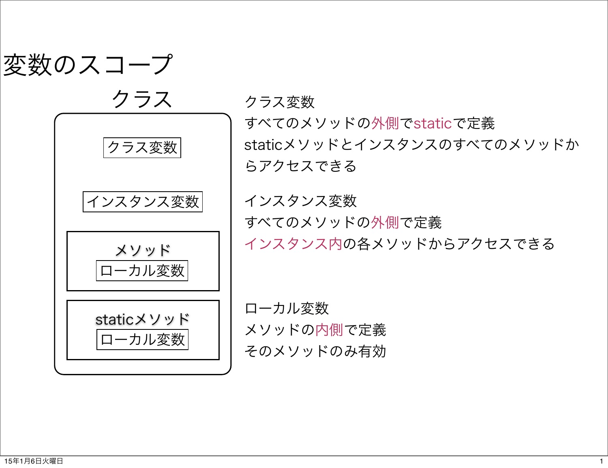

クラス インスタンス変数 クラス変数 メソッド staticメソッド ローカル変数 ローカル変数

クラス変数

すべてのメソッドの外側でstaticで定義 staticメソッドとインスタンスのすべてのメソッドか らアクセスできる

インスタンス変数 すべてのメソッドの外側で定義 インスタンス内の各メソッドからアクセスできる

ローカル変数 メソッドの内側で定義 そのメソッドのみ有効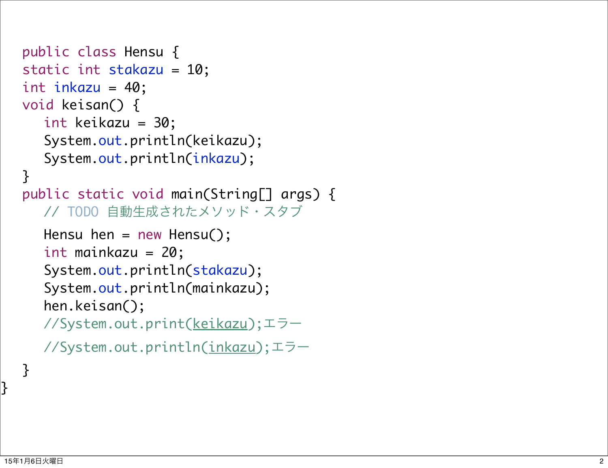```
public class Hensu {
static int stakazu = 10;
int inkazu = 40;
void keisan() {
  	 	 int keikazu = 30;
  	 	 System.out.println(keikazu);
   	 	 System.out.println(inkazu); }
public static void main(String[] args) {
  	 	 // TODO 自動生成されたメソッド・スタブ
  Hensu hen = new Hensu();
  	 	 int mainkazu = 20;
  	 	 System.out.println(stakazu);
  	 	 System.out.println(mainkazu);
  	 	 hen.keisan();
  	 	 //System.out.print(keikazu);エラー
  	 	 //System.out.println(inkazu);エラー
```
}<br>}

}<br>}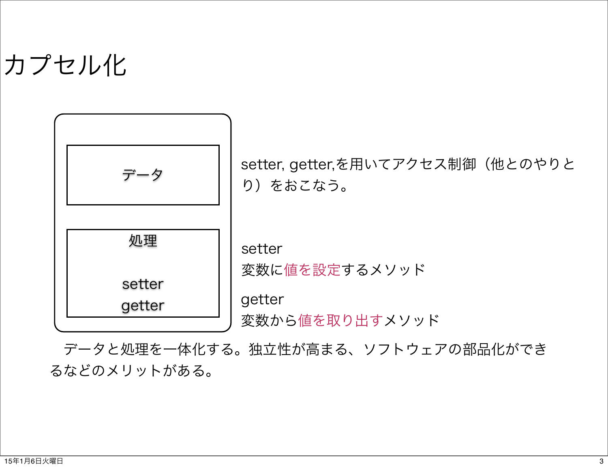## カプセル化



 データと処理を一体化する。独立性が高まる、ソフトウェアの部品化ができ るなどのメリットがある。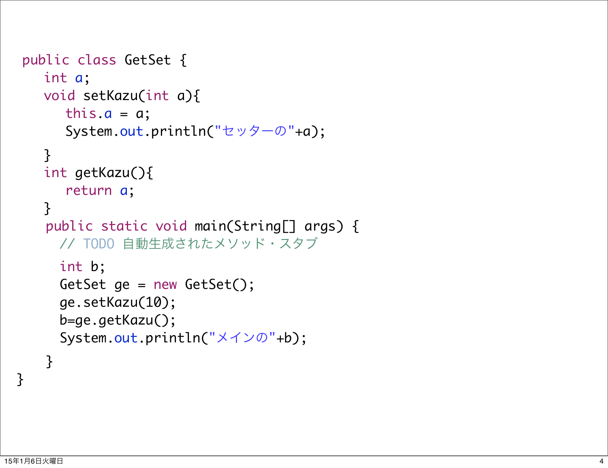```
public class GetSet {
   	 	 int a;
   	 	 void setKazu(int a){
      this.a = a;
      			 System.out.println("セッターの"+a);
   	 	 }
   	 	 int getKazu(){
      			 return a;
   }
    public static void main(String[] args) {
     	 	 // TODO 自動生成されたメソッド・スタブ
     	 	 int b;
     	 	 GetSet ge = new GetSet();
     	 	 ge.setKazu(10);
     	 	 b=ge.getKazu();
     	 	 System.out.println("メインの"+b);
    }
```
}<br>}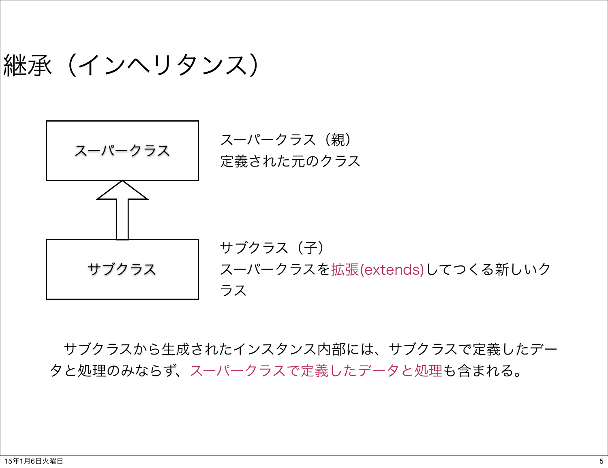|継承(インヘリタンス)



 サブクラスから生成されたインスタンス内部には、サブクラスで定義したデー タと処理のみならず、スーパークラスで定義したデータと処理も含まれる。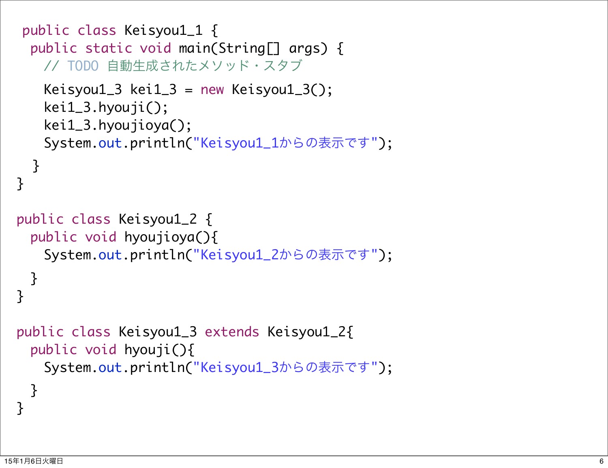```
public class Keisyou1_1 {
 public static void main(String[] args) {
   	 	 // TODO 自動生成されたメソッド・スタブ
   Keisyou1_3 kei1_3 = new Keisyou1_3();
   	 	 kei1_3.hyouji();
   	 	 kei1_3.hyoujioya();
   	 	 System.out.println("Keisyou1_1からの表示です");
  }<br>}
}
 public class Keisyou1_2 {
 public void hyoujioya(){
   	 	 System.out.println("Keisyou1_2からの表示です");
 }
<u>}</u>
 public class Keisyou1_3 extends Keisyou1_2{
 public void hyouji(){
   	 	 System.out.println("Keisyou1_3からの表示です");
  }
}<br>}
```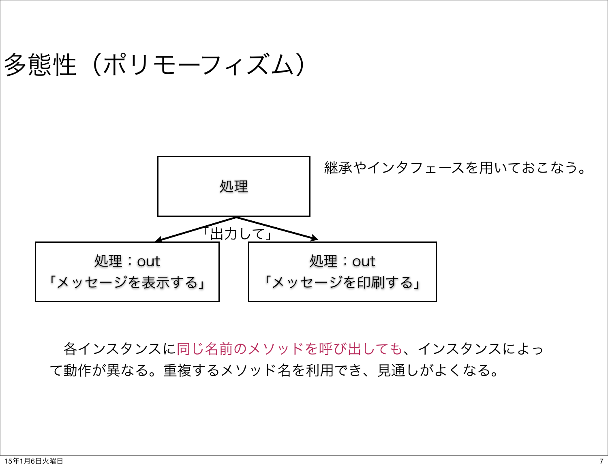## 多態性(ポリモーフィズム)



 各インスタンスに同じ名前のメソッドを呼び出しても、インスタンスによっ て動作が異なる。重複するメソッド名を利用でき、見通しがよくなる。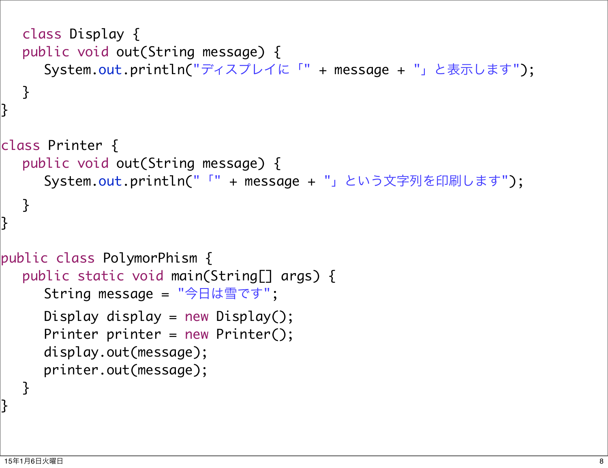```
class Display {
  public void out(String message) {
     	 	 System.out.println("ディスプレイに「" + message + "」と表示します");
  }
}<br>}
class Printer {
  public void out(String message) {
     	 	 System.out.println("「" + message + "」という文字列を印刷します");
  }
}<br>}
public class PolymorPhism {
  public static void main(String[] args) {
     String message = "今日は雪です";
     Display display = new Display();
     	 	 Printer printer = new Printer();
     	 	 display.out(message);
     	 	 printer.out(message);
  }<br>}
```
}<br>}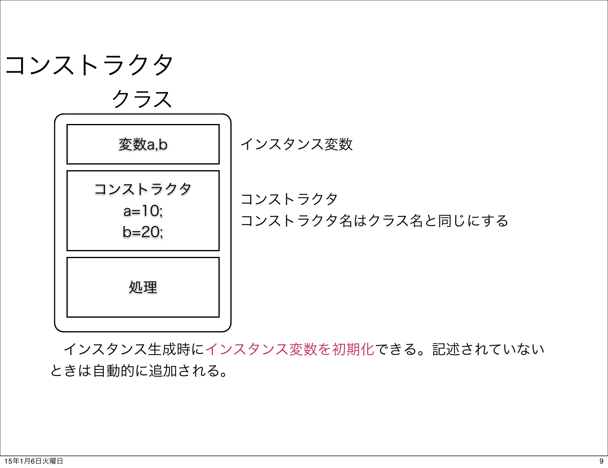

 インスタンス生成時にインスタンス変数を初期化できる。記述されていない ときは自動的に追加される。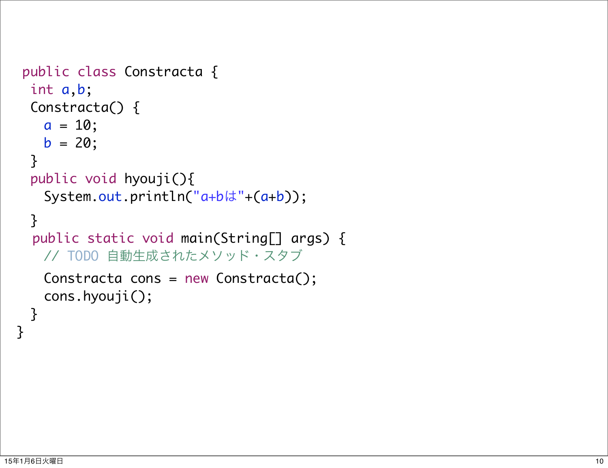```
public class Constracta {
 int a,b;
  Constracta() {
   a = 10;b = 20; }
 public void hyouji(){
   	 	 System.out.println("a+bは"+(a+b));
  }
  public static void main(String[] args) {
   	 	 // TODO 自動生成されたメソッド・スタブ
   	 	 Constracta cons = new Constracta();
   	 	 cons.hyouji();
  }
}
```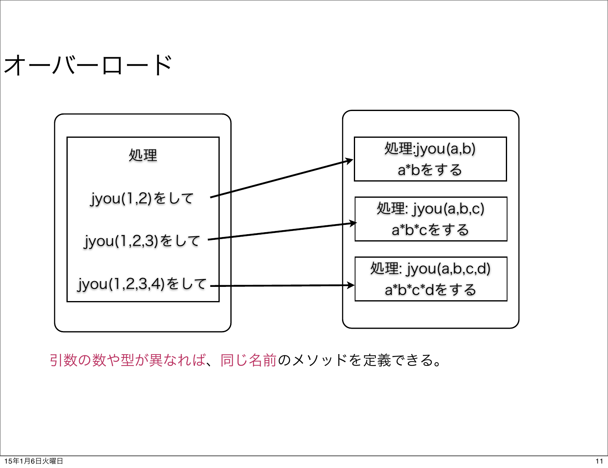## オーバーロード



引数の数や型が異なれば、同じ名前のメソッドを定義できる。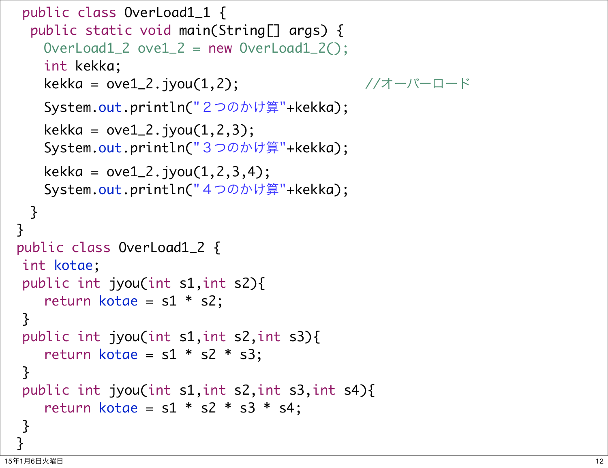```
public class OverLoad1_1 {
   public static void main(String[] args) {
     OverLoad1_2 \over 2_2 = new OverLoad1_2;
     	 	 int kekka;
     kekka = ove1_2.jyou(1,2); \sqrt{7} - 1 = 16	 	 System.out.println("2つのかけ算"+kekka);
     kekka = ove1_2. jyou(1, 2, 3);
     	 	 System.out.println("3つのかけ算"+kekka);
     kekka = ovel_2.jpg.jyou(1, 2, 3, 4);	 	 System.out.println("4つのかけ算"+kekka);
   }<br>}
  }
  public class OverLoad1_2 {
  int kotae;
  public int jyou(int s1,int s2){
     	 	 return kotae = s1 * s2;
  }
  public int jyou(int s1,int s2,int s3){
     return kotae = s1 * s2 * s3;}
  public int jyou(int s1,int s2,int s3,int s4){
     return kotae = s1 * s2 * s3 * s4;
  }
 }
```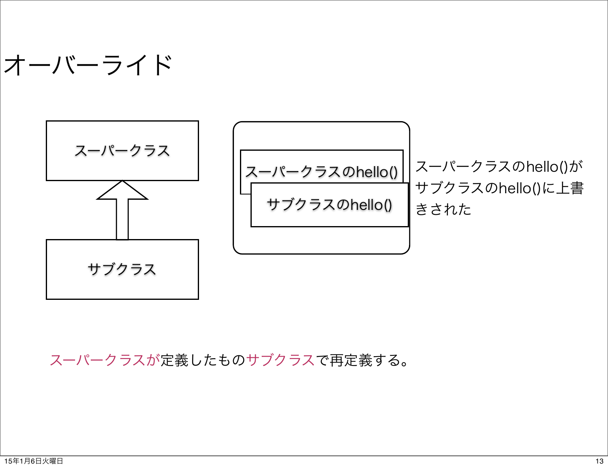



スーパークラスが定義したものサブクラスで再定義する。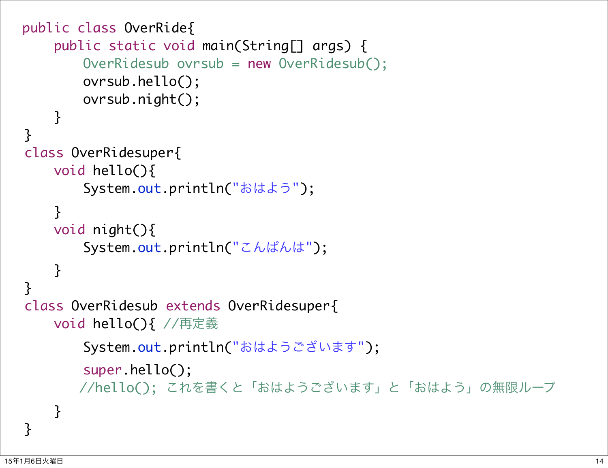```
public class OverRide{
     public static void main(String[] args) {
        	 	 OverRidesub ovrsub = new OverRidesub();
        	 	 ovrsub.hello();
        	 	 ovrsub.night();
     }
}
 class OverRidesuper{
     void hello(){
        	 	 System.out.println("おはよう");
     }
     void night(){
        	 	 System.out.println("こんばんは");
     }
}
 class OverRidesub extends OverRidesuper{ 
     void hello(){ //再定義
        	 	 System.out.println("おはようございます");
        	 	 super.hello();
           //hello(); これを書くと「おはようございます」と「おはよう」の無限ループ
    }
<u>}</u>
```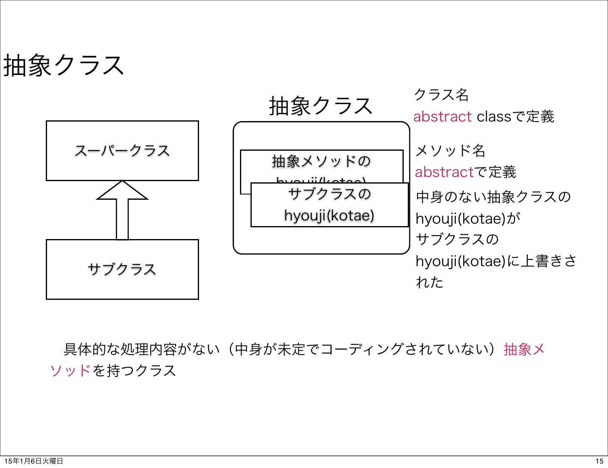抽象クラス



具体的な処理内容がない(中身が未定でコーディングされていない)抽象メ ソッドを持つクラス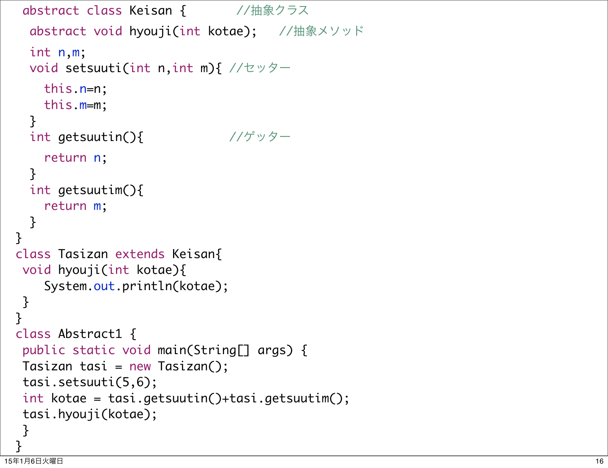```
abstract class Keisan { //抽象クラス
   abstract void hyouji(int kotae); //抽象メソッド
   int n,m;
   void setsuuti(int n,int m){ //セッター
	 	 this
.
n=n;
	 	 this
.
m=m;
   }
   int getsuutin(){ //ゲッター
	 	 return
n
;
    }
   int getsuutim(){
return m;
    }
  }
  class Tasizan extends Keisan{
  void hyouji(int kotae){
     	 	 System.out.println(kotae); }
 }
  class Abstract1 {
  public static void main(String[] args) {
  Tasizan tasi = new Tasizan();
  tasi.setsuuti(5,6);
  int kotae = tasi.getsuutin()+tasi.getsuutim();
  tasi.hyouji(kotae); }<br>}
```
}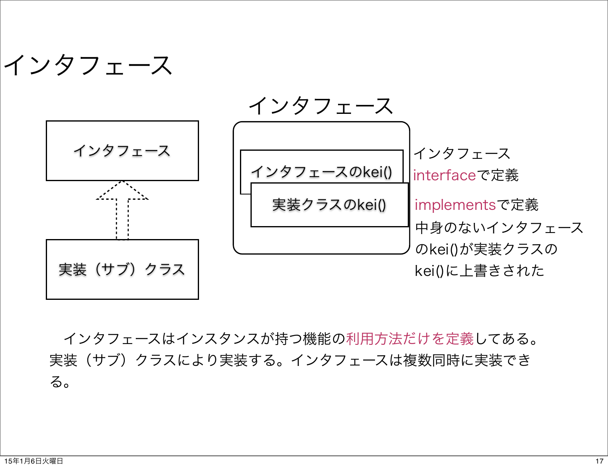



 インタフェースはインスタンスが持つ機能の利用方法だけを定義してある。 実装(サブ)クラスにより実装する。インタフェースは複数同時に実装でき る。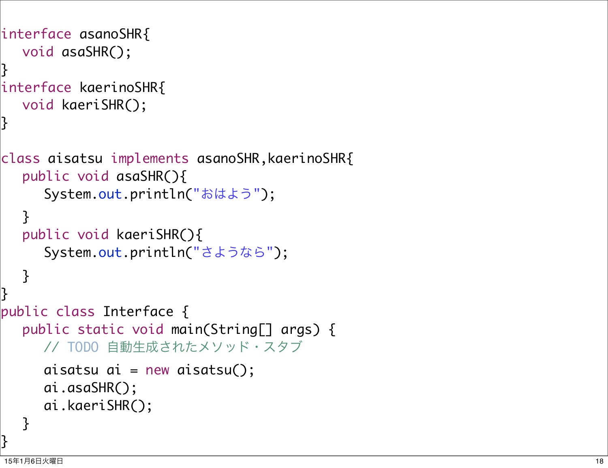```
interface asanoSHR{
  void asaSHR();
}<br>}
interface kaerinoSHR{
  void kaeriSHR();
}<br>}
class aisatsu implements asanoSHR,kaerinoSHR{
  public void asaSHR(){
	 	 System.out.println(
"おはよう
");
  }
  public void kaeriSHR(){
	 	 System.out.println(
"さようなら
");
  }
}<br>}
public class Interface {
  public static void main(String[] args) {
     	 	 // TODO 自動生成されたメソッド・スタブ
     aisatsu ai = new aisatsu();
     	 	 ai.asaSHR();
     	 	 ai.kaeriSHR(); }<br>}
}<br>}
```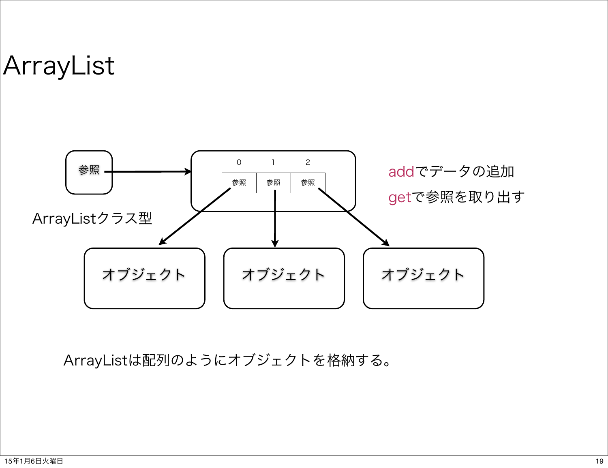ArrayList



ArrayListは配列のようにオブジェクトを格納する。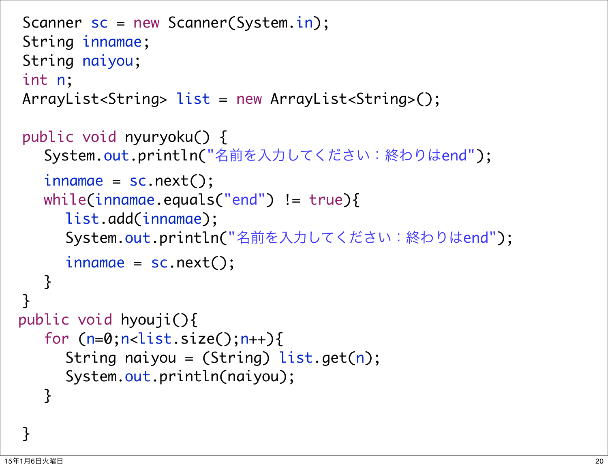```
Scanner sc = new Scanner(System.in);
String innamae;
String naiyou;
int n;
ArrayList<String> list = new ArrayList<String>();
public void nyuryoku() {
   	 	 System.out.println("名前を入力してください:終わりはend");
   innama = sc.next();while(innamae.equals("end") != true }{
     			 list.add(innamae);
     			 System.out.println("名前を入力してください:終わりはend");
     innama = sc.next();}
}
 public void hyouji(){
   for (n=0; n<list.size();n+){
     String naiyou = (String) list.get(n);			 System.out.println(naiyou);
   	 	 }
```
<u>}</u>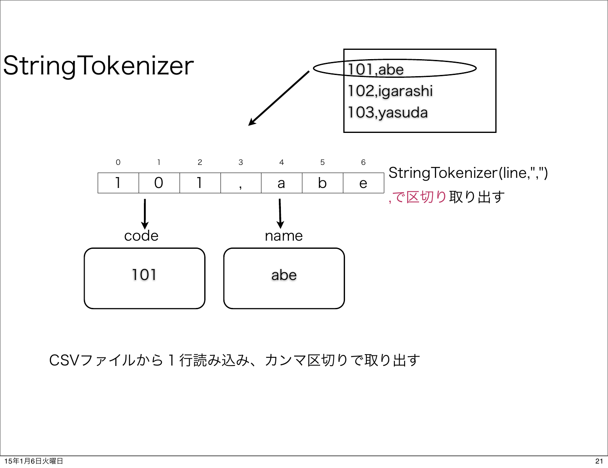

CSVファイルから1行読み込み、カンマ区切りで取り出す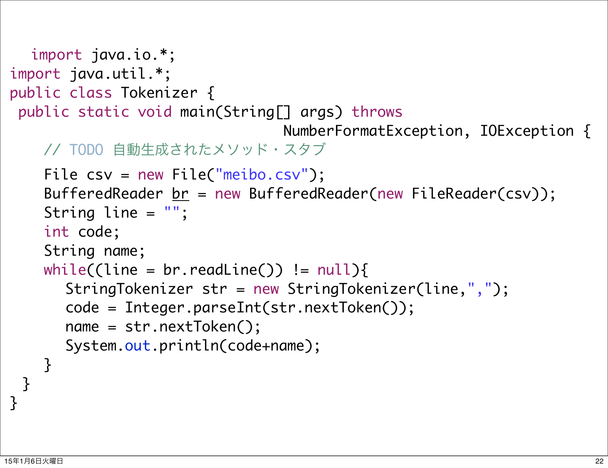```
 import java.io.*;
import java.util.*;
public class Tokenizer {
  public static void main(String[] args) throws
                                    NumberFormatException, IOException {
    	 	 // TODO 自動生成されたメソッド・スタブ
    	 	 File csv = new File("meibo.csv");
    BufferedReader <u>br</u> = new BufferedReader(new FileReader(csv));
    	 	 String line = "";
    	 	 int code;
    	 	 String name;
    while((line = br.readLine()) != null}
       			 StringTokenizer str = new StringTokenizer(line,",");
       			 code = Integer.parseInt(str.nextToken());
       			 name = str.nextToken();
       			 System.out.println(code+name);
    	 	 }
 }<br>}
```
}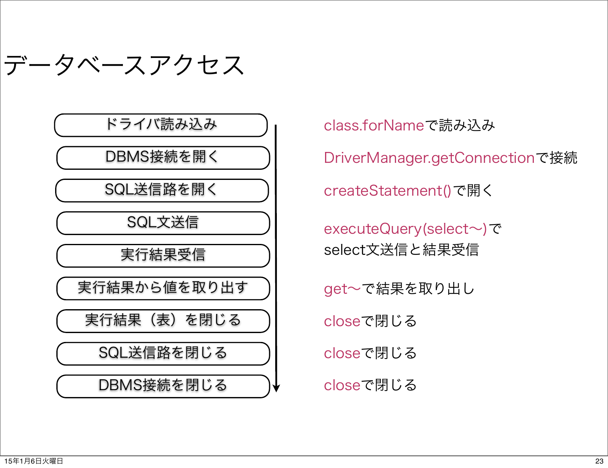データベースアクセス

ドライバ読み込み

DBMS接続を開く

SQL送信路を開く

SQL文送信

実行結果受信

実行結果から値を取り出す

実行結果(表)を閉じる closeで閉じる

SQL送信路を閉じる

DBMS接続を閉じる

class.forNameで読み込み DriverManager.getConnectionで接続 createStatement()で開く executeQuery(select~)で select文送信と結果受信 get~で結果を取り出し closeで閉じる

closeで閉じる